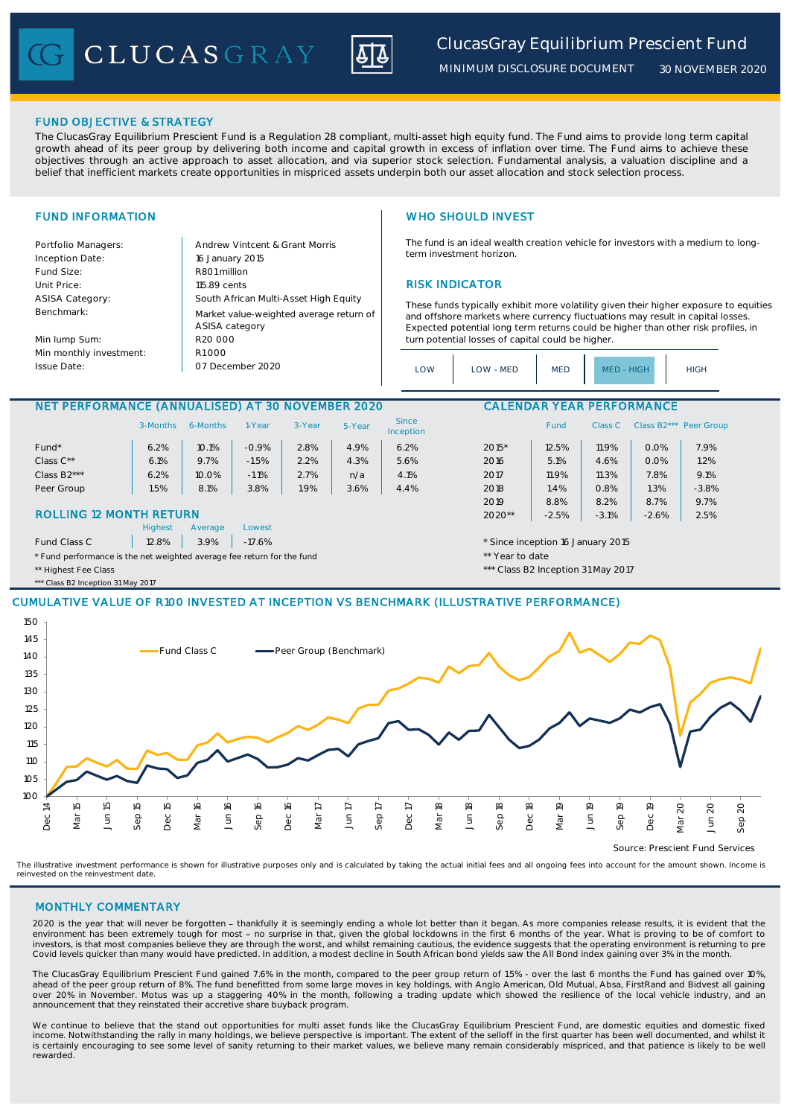CLUCASGRAY



*MINIMUM DISCLOSURE DOCUMENT*

*30 NOVEMBER 2020*

### FUND OBJECTIVE & STRATEGY

The ClucasGray Equilibrium Prescient Fund is a Regulation 28 compliant, multi-asset high equity fund. The Fund aims to provide long term capital growth ahead of its peer group by delivering both income and capital growth in excess of inflation over time. The Fund aims to achieve these objectives through an active approach to asset allocation, and via superior stock selection. Fundamental analysis, a valuation discipline and a belief that inefficient markets create opportunities in mispriced assets underpin both our asset allocation and stock selection process.

Portfolio Managers: <br>Andrew Vintcent & Grant Morris Inception Date: Fund Size: R801 million ASISA Category: Benchmark:

Min lump Sum: Min monthly investment: Issue Date:

Unit Price: 115.89 cents RISK INDICATOR South African Multi-Asset High Equity 16 January 2015 R20 000 Market value-weighted average return of ASISA category 07 December 2020  $R1000$ 

# FUND INFORMATION WHO SHOULD INVEST

The fund is an ideal wealth creation vehicle for investors with a medium to longterm investment horizon.

These funds typically exhibit more volatility given their higher exposure to equities and offshore markets where currency fluctuations may result in capital losses. Expected potential long term returns could be higher than other risk profiles, in turn potential losses of capital could be higher.

| LOW | LOW - MED | <b>MED</b> | MED - HIGH | HIGH |
|-----|-----------|------------|------------|------|
|-----|-----------|------------|------------|------|

### NET PERFORMANCE (ANNUALISED) AT 30 NOVEMBER 2020 CALENDAR YEAR PERFORMANCE

|                                                                        | 3-Months                  | 6-Months | 1-Year  | 3-Year | 5-Year | <b>Since</b><br>Inception          |                                   | <b>Fund</b> | Class C | Class B <sub>2</sub> *** | Peer Group |
|------------------------------------------------------------------------|---------------------------|----------|---------|--------|--------|------------------------------------|-----------------------------------|-------------|---------|--------------------------|------------|
| $Fund*$                                                                | 6.2%                      | 10.1%    | $-0.9%$ | 2.8%   | 4.9%   | 6.2%                               | $2015*$                           | 12.5%       | 11.9%   | 0.0%                     | 7.9%       |
| Class C**                                                              | 6.1%                      | 9.7%     | $-1.5%$ | 2.2%   | 4.3%   | 5.6%                               | 2016                              | 5.1%        | 4.6%    | 0.0%                     | 1.2%       |
| Class B2***                                                            | 6.2%                      | 10.0%    | $-1.1%$ | 2.7%   | n/a    | 4.1%                               | 2017                              | 11.9%       | 11.3%   | 7.8%                     | 9.1%       |
| Peer Group                                                             | 1.5%                      | 8.1%     | 3.8%    | 1.9%   | 3.6%   | 4.4%                               | 2018                              | 1.4%        | 0.8%    | 1.3%                     | $-3.8%$    |
|                                                                        |                           |          |         |        |        |                                    | 2019                              | 8.8%        | 8.2%    | 8.7%                     | 9.7%       |
| <b>ROLLING 12 MONTH RETURN</b>                                         |                           |          |         |        | 2020** | $-2.5%$                            | $-3.1%$                           | $-2.6%$     | 2.5%    |                          |            |
|                                                                        | <b>Highest</b>            | Average  | Lowest  |        |        |                                    |                                   |             |         |                          |            |
| Fund Class C                                                           | 3.9%<br>12.8%<br>$-17.6%$ |          |         |        |        |                                    | * Since inception 16 January 2015 |             |         |                          |            |
| * Fund performance is the net weighted average fee return for the fund |                           |          |         |        |        | ** Year to date                    |                                   |             |         |                          |            |
| ** Highest Fee Class                                                   |                           |          |         |        |        | *** Class B2 Inception 31 May 2017 |                                   |             |         |                          |            |

### \*\* Class B2 Inception 31 May 2017

# CUMULATIVE VALUE OF R100 INVESTED AT INCEPTION VS BENCHMARK (ILLUSTRATIVE PERFORMANCE)



Source: Prescient Fund Services

The illustrative investment performance is shown for illustrative purposes only and is calculated by taking the actual initial fees and all ongoing fees into account for the amount shown. Income is reinvested on the reinvestment date.

### MONTHLY COMMENTARY

2020 is the year that will never be forgotten - thankfully it is seemingly ending a whole lot better than it began. As more companies release results, it is evident that the environment has been extremely tough for most - no surprise in that, given the global lockdowns in the first 6 months of the year. What is proving to be of comfort to investors, is that most companies believe they are through the worst, and whilst remaining cautious, the evidence suggests that the operating environment is returning to pre Covid levels quicker than many would have predicted. In addition, a modest decline in South African bond yields saw the All Bond index gaining over 3% in the month.

The ClucasGray Equilibrium Prescient Fund gained 7.6% in the month, compared to the peer group return of 1.5% - over the last 6 months the Fund has gained over 10%, ahead of the peer group return of 8%. The fund benefitted from some large moves in key holdings, with Anglo American, Old Mutual, Absa, FirstRand and Bidvest all gaining<br>over 20% in November. Motus was up a staggering 40% announcement that they reinstated their accretive share buyback program.

We continue to believe that the stand out opportunities for multi asset funds like the ClucasGray Equilibrium Prescient Fund, are domestic equities and domestic fixed income. Notwithstanding the rally in many holdings, we believe perspective is important. The extent of the selloff in the first quarter has been well documented, and whilst it is certainly encouraging to see some level of sanity returning to their market values, we believe many remain considerably mispriced, and that patience is likely to be well rewarded.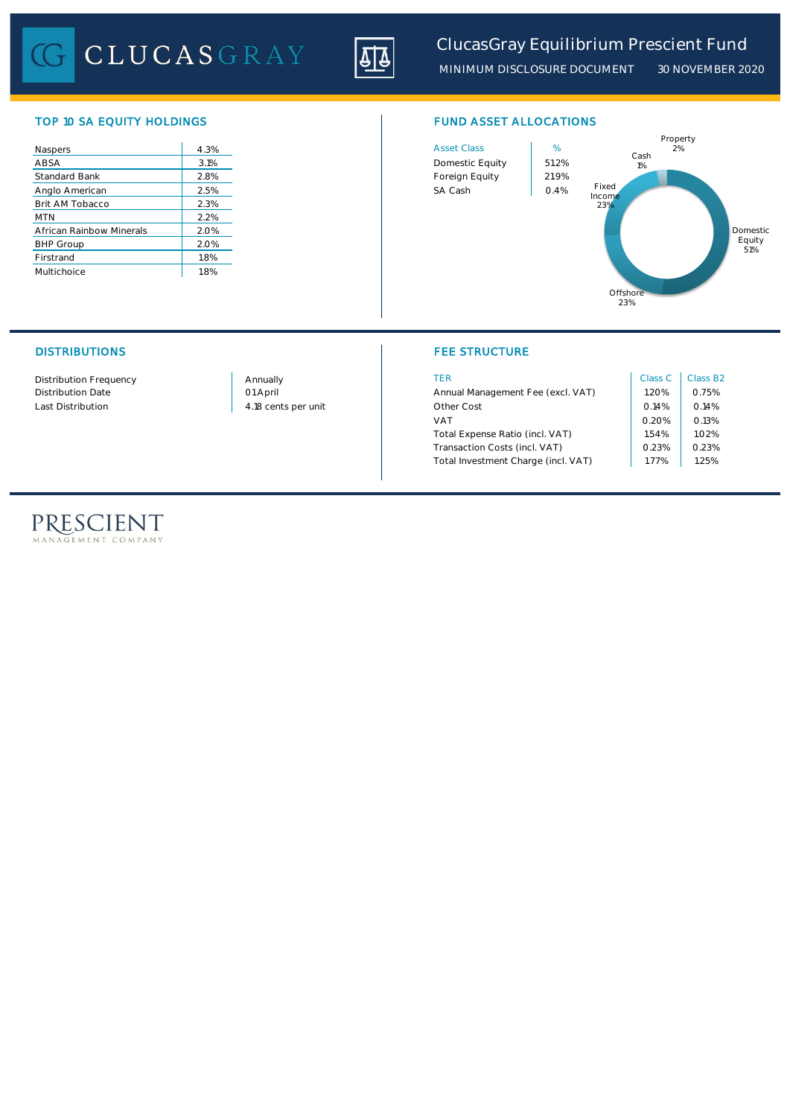CLUCASGRAY



*MINIMUM DISCLOSURE DOCUMENT 30 NOVEMBER 2020*

# TOP 10 SA EQUITY HOLDINGS FUND ASSET ALLOCATIONS

| Naspers                  | 4.3% |
|--------------------------|------|
| ABSA                     | 3.1% |
| <b>Standard Bank</b>     | 2.8% |
| Anglo American           | 2.5% |
| Brit AM Tobacco          | 2.3% |
| <b>MTN</b>               | 2.2% |
| African Rainbow Minerals | 2.0% |
| <b>BHP Group</b>         | 2.0% |
| Firstrand                | l.8% |
| Multichoice              | 1.8% |





# DISTRIBUTIONS FEE STRUCTURE

| Distribution Frequency | Annually            | TER                                 | Class C | Class B <sub>2</sub> |
|------------------------|---------------------|-------------------------------------|---------|----------------------|
| Distribution Date      | 01 April            | Annual Management Fee (excl. VAT)   | .20%    | 0.75%                |
| Last Distribution      | 4.18 cents per unit | Other Cost                          | 0.14%   | 0.14%                |
|                        |                     | <b>VAT</b>                          | 0.20%   | 0.13%                |
|                        |                     | Total Expense Ratio (incl. VAT)     | 1.54%   | 1.02%                |
|                        |                     | Transaction Costs (incl. VAT)       | 0.23%   | 0.23%                |
|                        |                     | Total Investment Charge (incl. VAT) | . 77%   | .25%                 |

# PRESCIENT